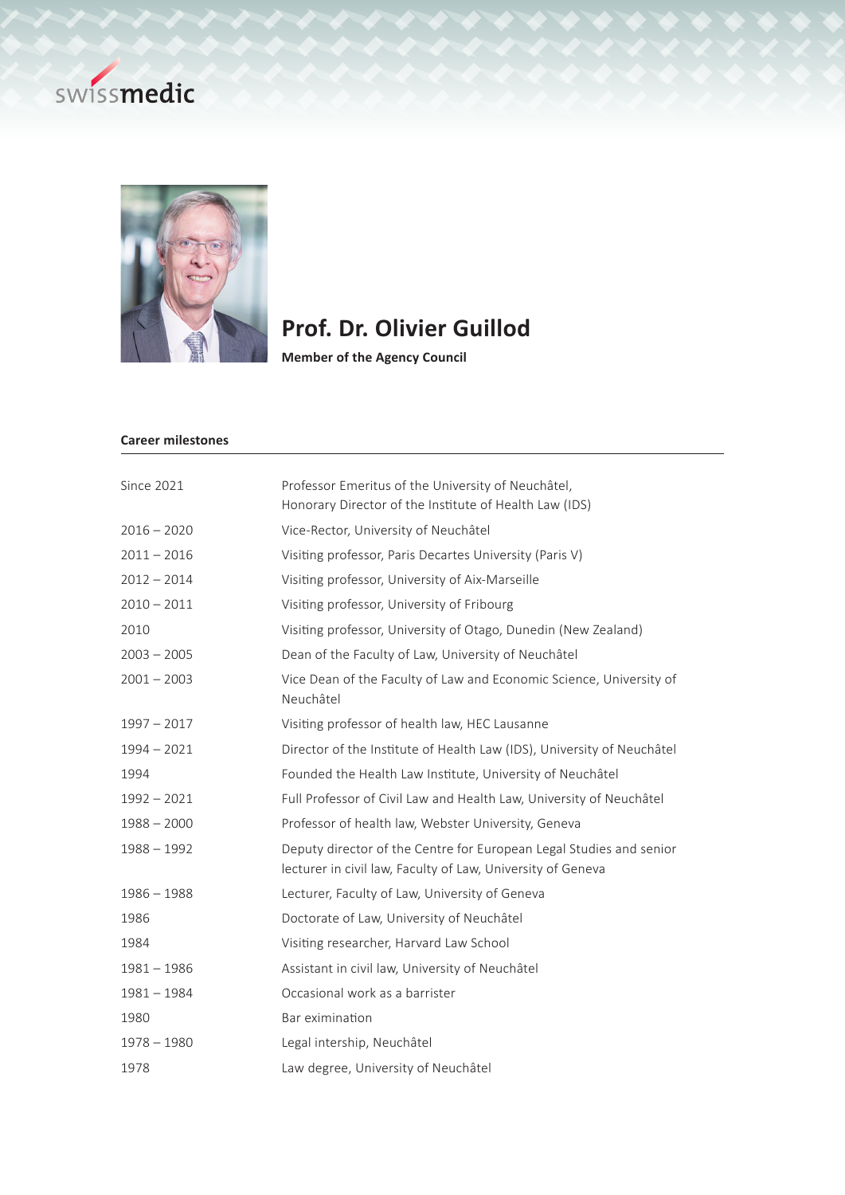



## **Prof. Dr. Olivier Guillod**

**Member of the Agency Council**

## **Career milestones**

| <b>Since 2021</b> | Professor Emeritus of the University of Neuchâtel,<br>Honorary Director of the Institute of Health Law (IDS)                       |
|-------------------|------------------------------------------------------------------------------------------------------------------------------------|
| $2016 - 2020$     | Vice-Rector, University of Neuchâtel                                                                                               |
| $2011 - 2016$     | Visiting professor, Paris Decartes University (Paris V)                                                                            |
| $2012 - 2014$     | Visiting professor, University of Aix-Marseille                                                                                    |
| $2010 - 2011$     | Visiting professor, University of Fribourg                                                                                         |
| 2010              | Visiting professor, University of Otago, Dunedin (New Zealand)                                                                     |
| $2003 - 2005$     | Dean of the Faculty of Law, University of Neuchâtel                                                                                |
| $2001 - 2003$     | Vice Dean of the Faculty of Law and Economic Science, University of<br>Neuchâtel                                                   |
| $1997 - 2017$     | Visiting professor of health law, HEC Lausanne                                                                                     |
| $1994 - 2021$     | Director of the Institute of Health Law (IDS), University of Neuchâtel                                                             |
| 1994              | Founded the Health Law Institute, University of Neuchâtel                                                                          |
| $1992 - 2021$     | Full Professor of Civil Law and Health Law, University of Neuchâtel                                                                |
| $1988 - 2000$     | Professor of health law, Webster University, Geneva                                                                                |
| $1988 - 1992$     | Deputy director of the Centre for European Legal Studies and senior<br>lecturer in civil law, Faculty of Law, University of Geneva |
| $1986 - 1988$     | Lecturer, Faculty of Law, University of Geneva                                                                                     |
| 1986              | Doctorate of Law, University of Neuchâtel                                                                                          |
| 1984              | Visiting researcher, Harvard Law School                                                                                            |
| $1981 - 1986$     | Assistant in civil law, University of Neuchâtel                                                                                    |
| $1981 - 1984$     | Occasional work as a barrister                                                                                                     |
| 1980              | Bar eximination                                                                                                                    |
| $1978 - 1980$     | Legal intership, Neuchâtel                                                                                                         |
| 1978              | Law degree, University of Neuchâtel                                                                                                |